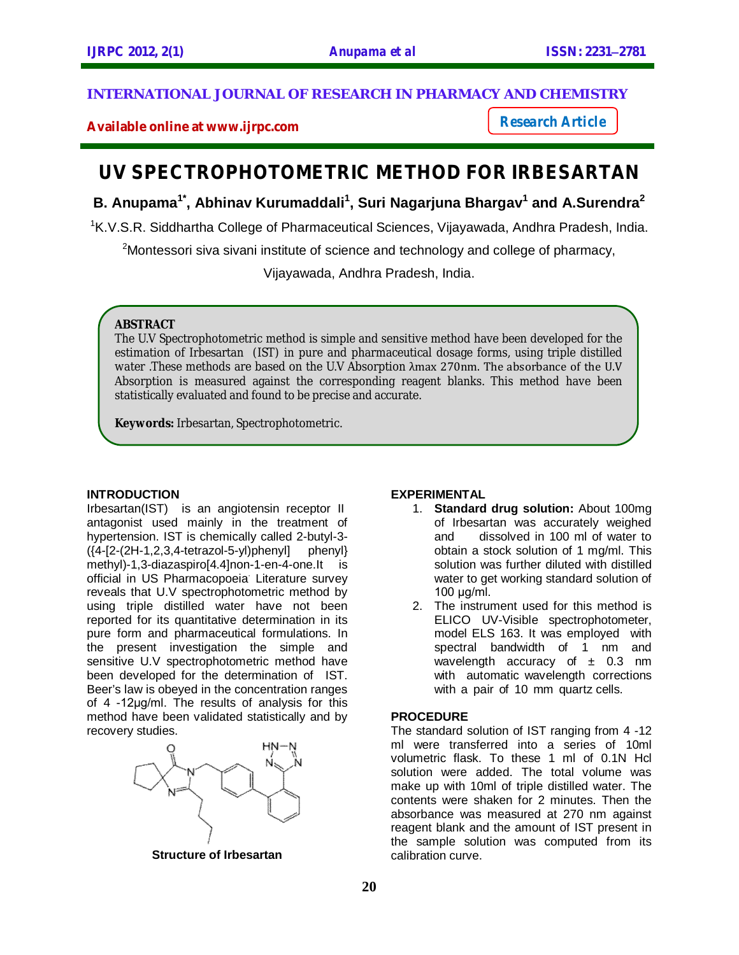## **INTERNATIONAL JOURNAL OF RESEARCH IN PHARMACY AND CHEMISTRY**

**Available online at www.ijrpc.com**

*Research Article*

# **UV SPECTROPHOTOMETRIC METHOD FOR IRBESARTAN**

# **B. Anupama1\* , Abhinav Kurumaddali<sup>1</sup> , Suri Nagarjuna Bhargav<sup>1</sup> and A.Surendra<sup>2</sup>**

<sup>1</sup>K.V.S.R. Siddhartha College of Pharmaceutical Sciences, Vijayawada, Andhra Pradesh, India.

<sup>2</sup>Montessori siva sivani institute of science and technology and college of pharmacy,

Vijayawada, Andhra Pradesh, India.

#### **ABSTRACT**

The U.V Spectrophotometric method is simple and sensitive method have been developed for the estimation of Irbesartan (IST) in pure and pharmaceutical dosage forms, using triple distilled water .These methods are based on the U.V Absorption λmax 270nm. The absorbance of the U.V Absorption is measured against the corresponding reagent blanks. This method have been statistically evaluated and found to be precise and accurate.

**Keywords:** Irbesartan, Spectrophotometric.

#### **INTRODUCTION**

Irbesartan(IST) is an angiotensin receptor II antagonist used mainly in the treatment of hypertension. IST is chemically called 2-butyl-3-  $({4-[2-(2H-1,2,3,4-tetrazol-5-v])phenyl}]$  phenyl} methyl)-1,3-diazaspiro[4.4]non-1-en-4-one.lt is official in US Pharmacopoeia. Literature survey reveals that U.V spectrophotometric method by using triple distilled water have not been reported for its quantitative determination in its pure form and pharmaceutical formulations. In the present investigation the simple and sensitive U.V spectrophotometric method have been developed for the determination of IST. Beer's law is obeyed in the concentration ranges of 4 -12µg/ml. The results of analysis for this method have been validated statistically and by recovery studies.



**Structure of Irbesartan**

#### **EXPERIMENTAL**

- 1. **Standard drug solution:** About 100mg of Irbesartan was accurately weighed and dissolved in 100 ml of water to obtain a stock solution of 1 mg/ml. This solution was further diluted with distilled water to get working standard solution of 100 µg/ml.
- 2. The instrument used for this method is ELICO UV-Visible spectrophotometer, model ELS 163. It was employed with spectral bandwidth of 1 nm and wavelength accuracy of  $\pm$  0.3 nm with automatic wavelength corrections with a pair of 10 mm quartz cells.

#### **PROCEDURE**

The standard solution of IST ranging from 4 -12 ml were transferred into a series of 10ml volumetric flask. To these 1 ml of 0.1N Hcl solution were added. The total volume was make up with 10ml of triple distilled water. The contents were shaken for 2 minutes. Then the absorbance was measured at 270 nm against reagent blank and the amount of IST present in the sample solution was computed from its calibration curve.